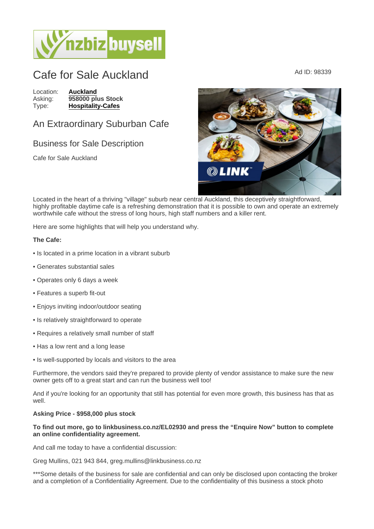## Cafe for Sale Auckland Ad ID: 98339

Location: [Auckland](https://www.nzbizbuysell.co.nz/businesses-for-sale/location/Auckland) Asking: 958000 plus Stock<br>Type: Hospitality-Cafes [Hospitality-Cafes](https://www.nzbizbuysell.co.nz/businesses-for-sale/Cafes/New-Zealand)

## An Extraordinary Suburban Cafe

## Business for Sale Description

Cafe for Sale Auckland

Located in the heart of a thriving "village" suburb near central Auckland, this deceptively straightforward, highly profitable daytime cafe is a refreshing demonstration that it is possible to own and operate an extremely worthwhile cafe without the stress of long hours, high staff numbers and a killer rent.

Here are some highlights that will help you understand why.

The Cafe:

- Is located in a prime location in a vibrant suburb
- Generates substantial sales
- Operates only 6 days a week
- Features a superb fit-out
- Enjoys inviting indoor/outdoor seating
- Is relatively straightforward to operate
- Requires a relatively small number of staff
- Has a low rent and a long lease
- Is well-supported by locals and visitors to the area

Furthermore, the vendors said they're prepared to provide plenty of vendor assistance to make sure the new owner gets off to a great start and can run the business well too!

And if you're looking for an opportunity that still has potential for even more growth, this business has that as well.

Asking Price - \$958,000 plus stock

To find out more, go to linkbusiness.co.nz/EL02930 and press the "Enquire Now" button to complete an online confidentiality agreement.

And call me today to have a confidential discussion:

Greg Mullins, 021 943 844, greg.mullins@linkbusiness.co.nz

\*\*\*Some details of the business for sale are confidential and can only be disclosed upon contacting the broker and a completion of a Confidentiality Agreement. Due to the confidentiality of this business a stock photo